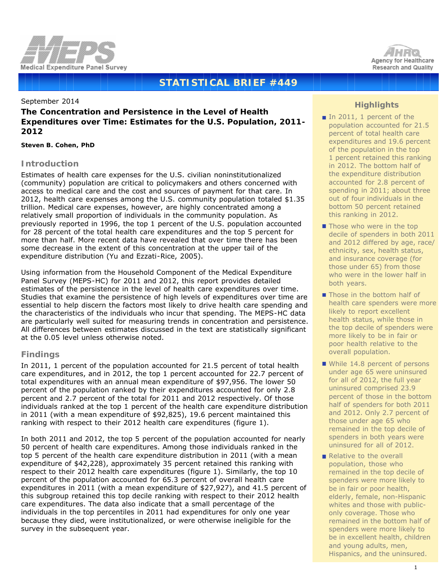



# **STATISTICAL BRIEF #449**

September 2014

# **The Concentration and Persistence in the Level of Health Expenditures over Time: Estimates for the U.S. Population, 2011- 2012**

*Steven B. Cohen, PhD*

# **Introduction**

Estimates of health care expenses for the U.S. civilian noninstitutionalized (community) population are critical to policymakers and others concerned with access to medical care and the cost and sources of payment for that care. In 2012, health care expenses among the U.S. community population totaled \$1.35 trillion. Medical care expenses, however, are highly concentrated among a relatively small proportion of individuals in the community population. As previously reported in 1996, the top 1 percent of the U.S. population accounted for 28 percent of the total health care expenditures and the top 5 percent for more than half. More recent data have revealed that over time there has been some decrease in the extent of this concentration at the upper tail of the expenditure distribution (Yu and Ezzati-Rice, 2005).

Using information from the Household Component of the Medical Expenditure Panel Survey (MEPS-HC) for 2011 and 2012, this report provides detailed estimates of the persistence in the level of health care expenditures over time. Studies that examine the persistence of high levels of expenditures over time are essential to help discern the factors most likely to drive health care spending and the characteristics of the individuals who incur that spending. The MEPS-HC data are particularly well suited for measuring trends in concentration and persistence. All differences between estimates discussed in the text are statistically significant at the 0.05 level unless otherwise noted.

# **Findings**

In 2011, 1 percent of the population accounted for 21.5 percent of total health care expenditures, and in 2012, the top 1 percent accounted for 22.7 percent of total expenditures with an annual mean expenditure of \$97,956. The lower 50 percent of the population ranked by their expenditures accounted for only 2.8 percent and 2.7 percent of the total for 2011 and 2012 respectively. Of those individuals ranked at the top 1 percent of the health care expenditure distribution in 2011 (with a mean expenditure of \$92,825), 19.6 percent maintained this ranking with respect to their 2012 health care expenditures (figure 1).

In both 2011 and 2012, the top 5 percent of the population accounted for nearly 50 percent of health care expenditures. Among those individuals ranked in the top 5 percent of the health care expenditure distribution in 2011 (with a mean expenditure of \$42,228), approximately 35 percent retained this ranking with respect to their 2012 health care expenditures (figure 1). Similarly, the top 10 percent of the population accounted for 65.3 percent of overall health care expenditures in 2011 (with a mean expenditure of \$27,927), and 41.5 percent of this subgroup retained this top decile ranking with respect to their 2012 health care expenditures. The data also indicate that a small percentage of the individuals in the top percentiles in 2011 had expenditures for only one year because they died, were institutionalized, or were otherwise ineligible for the survey in the subsequent year.

# **Highlights**

- In 2011, 1 percent of the population accounted for 21.5 percent of total health care expenditures and 19.6 percent of the population in the top 1 percent retained this ranking in 2012. The bottom half of the expenditure distribution accounted for 2.8 percent of spending in 2011; about three out of four individuals in the bottom 50 percent retained this ranking in 2012.
- **Those who were in the top** decile of spenders in both 2011 and 2012 differed by age, race/ ethnicity, sex, health status, and insurance coverage (for those under 65) from those who were in the lower half in both years.
- Those in the bottom half of health care spenders were more likely to report excellent health status, while those in the top decile of spenders were more likely to be in fair or poor health relative to the overall population.
- While 14.8 percent of persons under age 65 were uninsured for all of 2012, the full year uninsured comprised 23.9 percent of those in the bottom half of spenders for both 2011 and 2012. Only 2.7 percent of those under age 65 who remained in the top decile of spenders in both years were uninsured for all of 2012.
- Relative to the overall population, those who remained in the top decile of spenders were more likely to be in fair or poor health, elderly, female, non-Hispanic whites and those with publiconly coverage. Those who remained in the bottom half of spenders were more likely to be in excellent health, children and young adults, men, Hispanics, and the uninsured.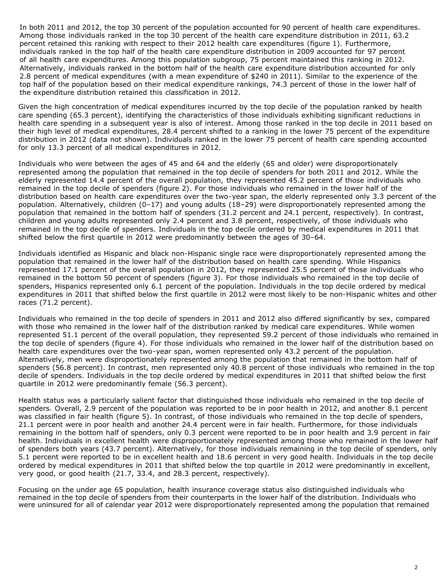In both 2011 and 2012, the top 30 percent of the population accounted for 90 percent of health care expenditures. Among those individuals ranked in the top 30 percent of the health care expenditure distribution in 2011, 63.2 percent retained this ranking with respect to their 2012 health care expenditures (figure 1). Furthermore, individuals ranked in the top half of the health care expenditure distribution in 2009 accounted for 97 percent of all health care expenditures. Among this population subgroup, 75 percent maintained this ranking in 2012. Alternatively, individuals ranked in the bottom half of the health care expenditure distribution accounted for only 2.8 percent of medical expenditures (with a mean expenditure of \$240 in 2011). Similar to the experience of the top half of the population based on their medical expenditure rankings, 74.3 percent of those in the lower half of the expenditure distribution retained this classification in 2012.

Given the high concentration of medical expenditures incurred by the top decile of the population ranked by health care spending (65.3 percent), identifying the characteristics of those individuals exhibiting significant reductions in health care spending in a subsequent year is also of interest. Among those ranked in the top decile in 2011 based on their high level of medical expenditures, 28.4 percent shifted to a ranking in the lower 75 percent of the expenditure distribution in 2012 (data not shown). Individuals ranked in the lower 75 percent of health care spending accounted for only 13.3 percent of all medical expenditures in 2012.

Individuals who were between the ages of 45 and 64 and the elderly (65 and older) were disproportionately represented among the population that remained in the top decile of spenders for both 2011 and 2012. While the elderly represented 14.4 percent of the overall population, they represented 45.2 percent of those individuals who remained in the top decile of spenders (figure 2). For those individuals who remained in the lower half of the distribution based on health care expenditures over the two-year span, the elderly represented only 3.3 percent of the population. Alternatively, children (0–17) and young adults (18–29) were disproportionately represented among the population that remained in the bottom half of spenders (31.2 percent and 24.1 percent, respectively). In contrast, children and young adults represented only 2.4 percent and 3.8 percent, respectively, of those individuals who remained in the top decile of spenders. Individuals in the top decile ordered by medical expenditures in 2011 that shifted below the first quartile in 2012 were predominantly between the ages of 30–64.

Individuals identified as Hispanic and black non-Hispanic single race were disproportionately represented among the population that remained in the lower half of the distribution based on health care spending. While Hispanics represented 17.1 percent of the overall population in 2012, they represented 25.5 percent of those individuals who remained in the bottom 50 percent of spenders (figure 3). For those individuals who remained in the top decile of spenders, Hispanics represented only 6.1 percent of the population. Individuals in the top decile ordered by medical expenditures in 2011 that shifted below the first quartile in 2012 were most likely to be non-Hispanic whites and other races (71.2 percent).

Individuals who remained in the top decile of spenders in 2011 and 2012 also differed significantly by sex, compared with those who remained in the lower half of the distribution ranked by medical care expenditures. While women represented 51.1 percent of the overall population, they represented 59.2 percent of those individuals who remained in the top decile of spenders (figure 4). For those individuals who remained in the lower half of the distribution based on health care expenditures over the two-year span, women represented only 43.2 percent of the population. Alternatively, men were disproportionately represented among the population that remained in the bottom half of spenders (56.8 percent). In contrast, men represented only 40.8 percent of those individuals who remained in the top decile of spenders. Individuals in the top decile ordered by medical expenditures in 2011 that shifted below the first quartile in 2012 were predominantly female (56.3 percent).

Health status was a particularly salient factor that distinguished those individuals who remained in the top decile of spenders. Overall, 2.9 percent of the population was reported to be in poor health in 2012, and another 8.1 percent was classified in fair health (figure 5). In contrast, of those individuals who remained in the top decile of spenders, 21.1 percent were in poor health and another 24.4 percent were in fair health. Furthermore, for those individuals remaining in the bottom half of spenders, only 0.3 percent were reported to be in poor health and 3.9 percent in fair health. Individuals in excellent health were disproportionately represented among those who remained in the lower half of spenders both years (43.7 percent). Alternatively, for those individuals remaining in the top decile of spenders, only 5.1 percent were reported to be in excellent health and 18.6 percent in very good health. Individuals in the top decile ordered by medical expenditures in 2011 that shifted below the top quartile in 2012 were predominantly in excellent, very good, or good health (21.7, 33.4, and 28.3 percent, respectively).

Focusing on the under age 65 population, health insurance coverage status also distinguished individuals who remained in the top decile of spenders from their counterparts in the lower half of the distribution. Individuals who were uninsured for all of calendar year 2012 were disproportionately represented among the population that remained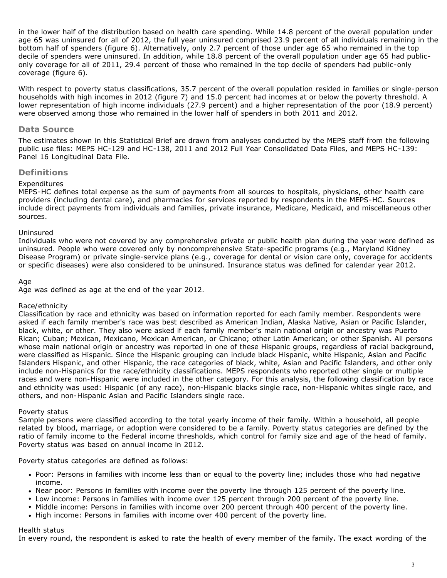in the lower half of the distribution based on health care spending. While 14.8 percent of the overall population under age 65 was uninsured for all of 2012, the full year uninsured comprised 23.9 percent of all individuals remaining in the bottom half of spenders (figure 6). Alternatively, only 2.7 percent of those under age 65 who remained in the top decile of spenders were uninsured. In addition, while 18.8 percent of the overall population under age 65 had publiconly coverage for all of 2011, 29.4 percent of those who remained in the top decile of spenders had public-only coverage (figure 6).

With respect to poverty status classifications, 35.7 percent of the overall population resided in families or single-person households with high incomes in 2012 (figure 7) and 15.0 percent had incomes at or below the poverty threshold. A lower representation of high income individuals (27.9 percent) and a higher representation of the poor (18.9 percent) were observed among those who remained in the lower half of spenders in both 2011 and 2012.

## **Data Source**

The estimates shown in this Statistical Brief are drawn from analyses conducted by the MEPS staff from the following public use files: MEPS HC-129 and HC-138, 2011 and 2012 Full Year Consolidated Data Files, and MEPS HC-139: Panel 16 Longitudinal Data File.

### **Definitions**

#### *Expenditures*

MEPS-HC defines total expense as the sum of payments from all sources to hospitals, physicians, other health care providers (including dental care), and pharmacies for services reported by respondents in the MEPS-HC. Sources include direct payments from individuals and families, private insurance, Medicare, Medicaid, and miscellaneous other sources.

#### *Uninsured*

Individuals who were not covered by any comprehensive private or public health plan during the year were defined as uninsured. People who were covered only by noncomprehensive State-specific programs (e.g., Maryland Kidney Disease Program) or private single-service plans (e.g., coverage for dental or vision care only, coverage for accidents or specific diseases) were also considered to be uninsured. Insurance status was defined for calendar year 2012.

#### *Age*

Age was defined as age at the end of the year 2012.

#### *Race/ethnicity*

Classification by race and ethnicity was based on information reported for each family member. Respondents were asked if each family member's race was best described as American Indian, Alaska Native, Asian or Pacific Islander, black, white, or other. They also were asked if each family member's main national origin or ancestry was Puerto Rican; Cuban; Mexican, Mexicano, Mexican American, or Chicano; other Latin American; or other Spanish. All persons whose main national origin or ancestry was reported in one of these Hispanic groups, regardless of racial background, were classified as Hispanic. Since the Hispanic grouping can include black Hispanic, white Hispanic, Asian and Pacific Islanders Hispanic, and other Hispanic, the race categories of black, white, Asian and Pacific Islanders, and other only include non-Hispanics for the race/ethnicity classifications. MEPS respondents who reported other single or multiple races and were non-Hispanic were included in the other category. For this analysis, the following classification by race and ethnicity was used: Hispanic (of any race), non-Hispanic blacks single race, non-Hispanic whites single race, and others, and non-Hispanic Asian and Pacific Islanders single race.

#### *Poverty status*

Sample persons were classified according to the total yearly income of their family. Within a household, all people related by blood, marriage, or adoption were considered to be a family. Poverty status categories are defined by the ratio of family income to the Federal income thresholds, which control for family size and age of the head of family. Poverty status was based on annual income in 2012.

Poverty status categories are defined as follows:

- Poor: Persons in families with income less than or equal to the poverty line; includes those who had negative income.
- Near poor: Persons in families with income over the poverty line through 125 percent of the poverty line.
- Low income: Persons in families with income over 125 percent through 200 percent of the poverty line.
- Middle income: Persons in families with income over 200 percent through 400 percent of the poverty line.
- High income: Persons in families with income over 400 percent of the poverty line.

#### *Health status*

In every round, the respondent is asked to rate the health of every member of the family. The exact wording of the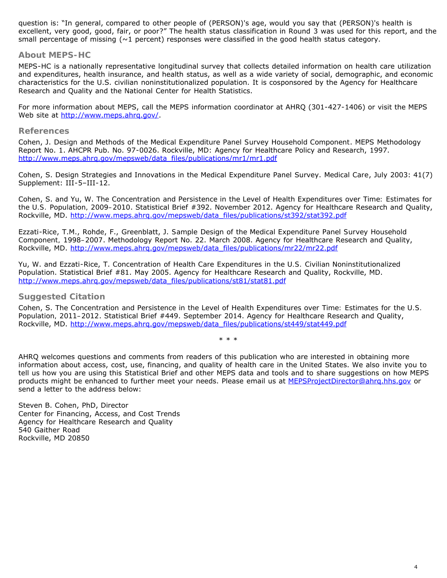question is: "In general, compared to other people of (PERSON)'s age, would you say that (PERSON)'s health is excellent, very good, good, fair, or poor?" The health status classification in Round 3 was used for this report, and the small percentage of missing ( $\sim$ 1 percent) responses were classified in the good health status category.

# **About MEPS-HC**

MEPS-HC is a nationally representative longitudinal survey that collects detailed information on health care utilization and expenditures, health insurance, and health status, as well as a wide variety of social, demographic, and economic characteristics for the U.S. civilian noninstitutionalized population. It is cosponsored by the Agency for Healthcare Research and Quality and the National Center for Health Statistics.

For more information about MEPS, call the MEPS information coordinator at AHRQ (301-427-1406) or visit the MEPS Web site at http://www.meps.ahrg.gov/.

### **References**

Cohen, J. *Design and Methods of the Medical Expenditure Panel Survey Household Component*. MEPS Methodology Report No. 1. AHCPR Pub. No. 97-0026. Rockville, MD: Agency for Healthcare Policy and Research, 1997. [http://www.meps.ahrq.gov/mepsweb/data\\_files/publications/mr1/mr1.pdf](http://www.meps.ahrq.gov/mepsweb/data_files/publications/mr1/mr1.pdf)

Cohen, S. Design Strategies and Innovations in the Medical Expenditure Panel Survey. *Medical Care*, July 2003: 41(7) Supplement: III-5–III-12.

Cohen, S. and Yu, W. *The Concentration and Persistence in the Level of Health Expenditures over Time: Estimates for the U.S. Population, 2009–2010*. Statistical Brief #392. November 2012. Agency for Healthcare Research and Quality, Rockville, MD. [http://www.meps.ahrq.gov/mepsweb/data\\_files/publications/st392/stat392.pdf](http://www.meps.ahrq.gov/mepsweb/data_files/publications/st392/stat392.pdf)

Ezzati-Rice, T.M., Rohde, F., Greenblatt, J. *Sample Design of the Medical Expenditure Panel Survey Household Component, 1998–2007*. Methodology Report No. 22. March 2008. Agency for Healthcare Research and Quality, Rockville, MD. [http://www.meps.ahrq.gov/mepsweb/data\\_files/publications/mr22/mr22.pdf](http://www.meps.ahrq.gov/mepsweb/data_files/publications/mr22/mr22.pdf)

Yu, W. and Ezzati-Rice, T. *Concentration of Health Care Expenditures in the U.S. Civilian Noninstitutionalized Population*. Statistical Brief #81. May 2005. Agency for Healthcare Research and Quality, Rockville, MD. [http://www.meps.ahrq.gov/mepsweb/data\\_files/publications/st81/stat81.pdf](http://www.meps.ahrq.gov/mepsweb/data_files/publications/st81/stat81.pdf)

## **Suggested Citation**

Cohen, S. *The Concentration and Persistence in the Level of Health Expenditures over Time: Estimates for the U.S. Population, 2011–2012*. Statistical Brief #449. September 2014. Agency for Healthcare Research and Quality, Rockville, MD. [http://www.meps.ahrq.gov/mepsweb/data\\_files/publications/st449/stat449.pdf](http://www.meps.ahrq.gov/mepsweb/data_files/publications/st449/stat449.pdf)

\* \* \*

AHRQ welcomes questions and comments from readers of this publication who are interested in obtaining more information about access, cost, use, financing, and quality of health care in the United States. We also invite you to tell us how you are using this Statistical Brief and other MEPS data and tools and to share suggestions on how MEPS products might be enhanced to further meet your needs. Please email us at MEPSProjectDirector@ahrg.hhs.gov or send a letter to the address below:

Steven B. Cohen, PhD, Director Center for Financing, Access, and Cost Trends Agency for Healthcare Research and Quality 540 Gaither Road Rockville, MD 20850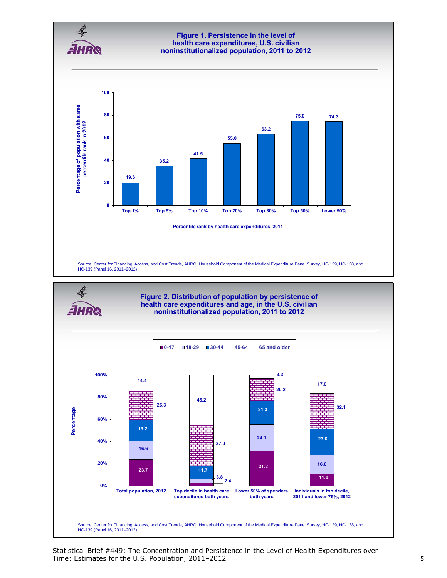

Statistical Brief #449: The Concentration and Persistence in the Level of Health Expenditures over Time: Estimates for the U.S. Population, 2011–2012 5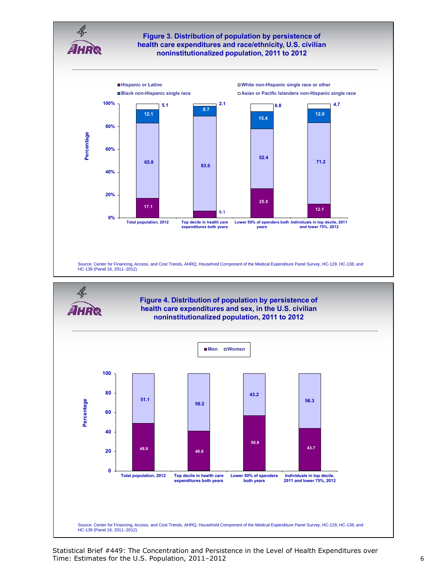



Statistical Brief #449: The Concentration and Persistence in the Level of Health Expenditures over Time: Estimates for the U.S. Population, 2011–2012 6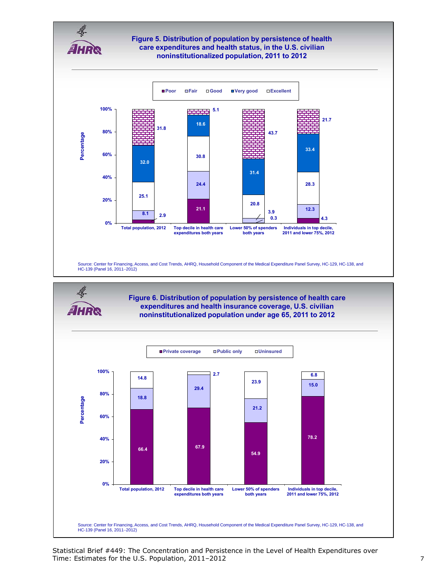

**expenditures and health insurance coverage, U.S. civilian noninstitutionalized population under age 65, 2011 to 2012**



Statistical Brief #449: The Concentration and Persistence in the Level of Health Expenditures over Time: Estimates for the U.S. Population, 2011–2012 **7** and the U.S. Population, 2011–2012